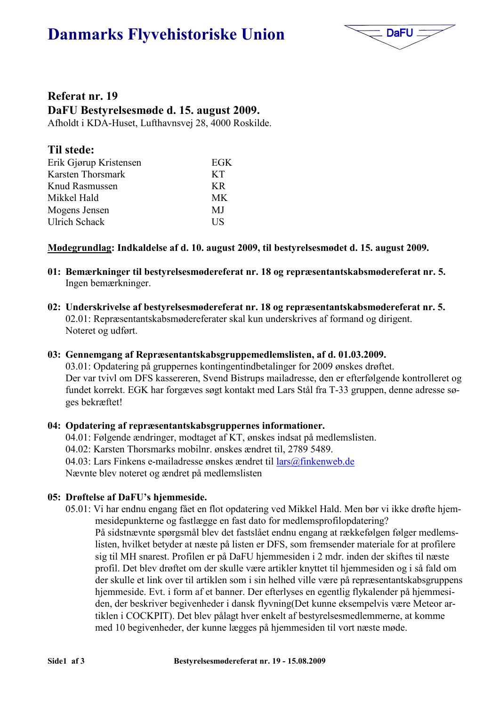# **Danmarks Flyvehistoriske Union**



### Referat nr. 19 DaFU Bestyrelsesmøde d. 15. august 2009.

Afholdt i KDA-Huset, Lufthavnsvej 28, 4000 Roskilde.

| Til stede:             |           |
|------------------------|-----------|
| Erik Gjørup Kristensen | EGK       |
| Karsten Thorsmark      | <b>KT</b> |
| Knud Rasmussen         | KR.       |
| Mikkel Hald            | <b>MK</b> |
| Mogens Jensen          | MJ        |
| <b>Ulrich Schack</b>   | <b>US</b> |

#### Mødegrundlag: Indkaldelse af d. 10. august 2009, til bestyrelsesmødet d. 15. august 2009.

- 01: Bemærkninger til bestyrelsesmødereferat nr. 18 og repræsentantskabsmødereferat nr. 5. Ingen bemærkninger.
- 02: Underskrivelse af bestyrelsesmødereferat nr. 18 og repræsentantskabsmødereferat nr. 5. 02.01: Repræsentantskabsmødereferater skal kun underskrives af formand og dirigent. Noteret og udført.

#### 03: Gennemgang af Repræsentantskabsgruppemedlemslisten, af d. 01.03.2009.

03.01: Opdatering på gruppernes kontingentindbetalinger for 2009 ønskes drøftet. Der var tvivl om DFS kassereren, Svend Bistrups mailadresse, den er efterfølgende kontrolleret og fundet korrekt. EGK har forgæves søgt kontakt med Lars Stål fra T-33 gruppen, denne adresse søges bekræftet!

#### 04: Opdatering af repræsentantskabsgruppernes informationer.

04.01: Følgende ændringer, modtaget af KT, ønskes indsat på medlemslisten. 04.02: Karsten Thorsmarks mobilnr. ønskes ændret til, 2789 5489. 04.03: Lars Finkens e-mailadresse ønskes ændret til  $\frac{arg(\hat{a})}{\hat{a}}$ finkenweb.de Nævnte blev noteret og ændret på medlemslisten

#### 05: Drøftelse af DaFU's hjemmeside.

05.01: Vi har endnu engang fået en flot opdatering ved Mikkel Hald. Men bør vi ikke drøfte hjemmesidepunkterne og fastlægge en fast dato for medlemsprofilopdatering? På sidstnævnte spørgsmål blev det fastslået endnu engang at rækkefølgen følger medlemslisten, hvilket betyder at næste på listen er DFS, som fremsender materiale for at profilere sig til MH snarest. Profilen er på DaFU hjemmesiden i 2 mdr. inden der skiftes til næste profil. Det blev drøftet om der skulle være artikler knyttet til hjemmesiden og i så fald om der skulle et link over til artiklen som i sin helhed ville være på repræsentantskabsgruppens hjemmeside. Evt. i form af et banner. Der efterlyses en egentlig flykalender på hjemmesiden, der beskriver begivenheder i dansk flyvning(Det kunne eksempelvis være Meteor artiklen i COCKPIT). Det blev pålagt hver enkelt af bestyrelsesmedlemmerne, at komme med 10 begivenheder, der kunne lægges på hjemmesiden til vort næste møde.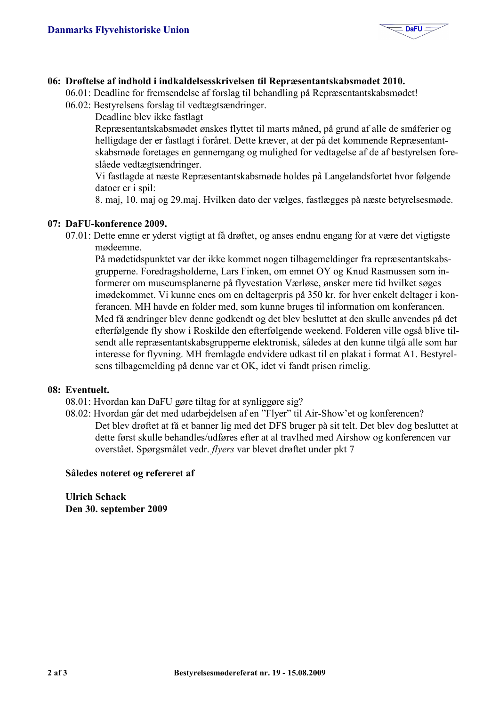

#### 06: Drøftelse af indhold i indkaldelsesskrivelsen til Repræsentantskabsmødet 2010.

06.01: Deadline for fremsendelse af forslag til behandling på Repræsentantskabsmødet!

06.02: Bestyrelsens forslag til vedtægtsændringer.

Deadline blev ikke fastlagt

Repræsentantskabsmødet ønskes flyttet til marts måned, på grund af alle de småferier og helligdage der er fastlagt i foråret. Dette kræver, at der på det kommende Repræsentantskabsmøde foretages en gennemgang og mulighed for vedtagelse af de af bestyrelsen foreslåede vedtægtsændringer.

Vi fastlagde at næste Repræsentantskabsmøde holdes på Langelandsfortet hvor følgende datoer er i spil:

8. mai, 10. mai og 29. mai. Hvilken dato der vælges, fastlægges på næste betyrelsesmøde.

#### 07: DaFU-konference 2009.

07.01: Dette emne er vderst vigtigt at få drøftet, og anses endnu engang for at være det vigtigste mødeemne.

På mødetidspunktet var der ikke kommet nogen tilbagemeldinger fra repræsentantskabsgrupperne. Foredragsholderne, Lars Finken, om emnet OY og Knud Rasmussen som informerer om museumsplanerne på flyvestation Værløse, ønsker mere tid hvilket søges imødekommet. Vi kunne enes om en deltagerpris på 350 kr. for hver enkelt deltager i konferancen. MH havde en folder med, som kunne bruges til information om konferancen. Med få ændringer blev denne godkendt og det blev besluttet at den skulle anvendes på det efterfølgende fly show i Roskilde den efterfølgende weekend. Folderen ville også blive tilsendt alle repræsentantskabsgrupperne elektronisk, således at den kunne tilgå alle som har interesse for flyvning. MH fremlagde endvidere udkast til en plakat i format A1. Bestyrelsens tilbagemelding på denne var et OK, idet vi fandt prisen rimelig.

#### 08: Eventuelt.

- 08.01: Hyordan kan DaFU gøre tiltag for at synliggøre sig?
- 08.02: Hvordan går det med udarbejdelsen af en "Flyer" til Air-Show'et og konferencen? Det blev drøftet at få et banner lig med det DFS bruger på sit telt. Det blev dog besluttet at dette først skulle behandles/udføres efter at al travlhed med Airshow og konferencen var overstået. Spørgsmålet vedr. flyers var blevet drøftet under pkt 7

#### Således noteret og refereret af

**Ulrich Schack** Den 30. september 2009